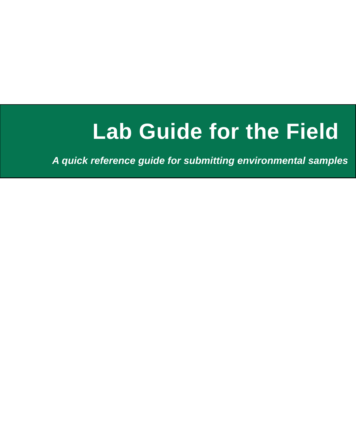# **Lab Guide for the Field**

*A quick reference guide for submitting environmental samples*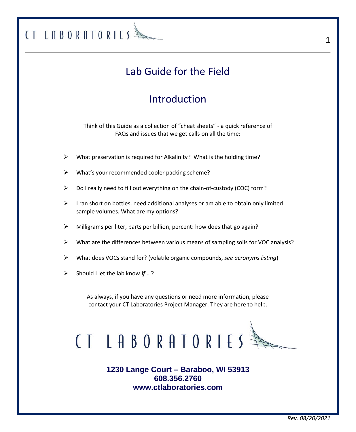## Lab Guide for the Field

### Introduction

Think of this Guide as a collection of "cheat sheets" - a quick reference of FAQs and issues that we get calls on all the time:

- ➢ What preservation is required for Alkalinity? What is the holding time?
- What's your recommended cooler packing scheme?
- ➢ Do I really need to fill out everything on the chain-of-custody (COC) form?
- $\triangleright$  I ran short on bottles, need additional analyses or am able to obtain only limited sample volumes. What are my options?
- ➢ Milligrams per liter, parts per billion, percent: how does that go again?
- $\triangleright$  What are the differences between various means of sampling soils for VOC analysis?
- ➢ What does VOCs stand for? (volatile organic compounds, *see acronyms listing*)
- ➢ Should I let the lab know *if* …?

CT LABORATORIES

As always, if you have any questions or need more information, please contact your CT Laboratories Project Manager. They are here to help.



**1230 Lange Court – Baraboo, WI 53913 608.356.2760 [www.ctlaboratories.com](http://www.ctlaboratories.com/)**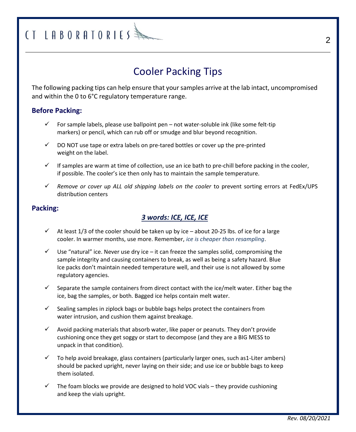### Cooler Packing Tips

The following packing tips can help ensure that your samples arrive at the lab intact, uncompromised and within the 0 to 6°C regulatory temperature range.

#### **Before Packing:**

- $\checkmark$  For sample labels, please use ballpoint pen not water-soluble ink (like some felt-tip markers) or pencil, which can rub off or smudge and blur beyond recognition.
- $\checkmark$  DO NOT use tape or extra labels on pre-tared bottles or cover up the pre-printed weight on the label.
- $\checkmark$  If samples are warm at time of collection, use an ice bath to pre-chill before packing in the cooler, if possible. The cooler's ice then only has to maintain the sample temperature.
- ✓ *Remove or cover up ALL old shipping labels on the cooler* to prevent sorting errors at FedEx/UPS distribution centers

#### **Packing:**

### *3 words: ICE, ICE, ICE*

- $\checkmark$  At least 1/3 of the cooler should be taken up by ice about 20-25 lbs. of ice for a large cooler. In warmer months, use more. Remember, *ice is cheaper than resampling*.
- $\checkmark$  Use "natural" ice. Never use dry ice it can freeze the samples solid, compromising the sample integrity and causing containers to break, as well as being a safety hazard. Blue Ice packs don't maintain needed temperature well, and their use is not allowed by some regulatory agencies.
- $\checkmark$  Separate the sample containers from direct contact with the ice/melt water. Either bag the ice, bag the samples, or both. Bagged ice helps contain melt water.
- $\checkmark$  Sealing samples in ziplock bags or bubble bags helps protect the containers from water intrusion, and cushion them against breakage.
- $\checkmark$  Avoid packing materials that absorb water, like paper or peanuts. They don't provide cushioning once they get soggy or start to decompose (and they are a BIG MESS to unpack in that condition).
- To help avoid breakage, glass containers (particularly larger ones, such as1-Liter ambers) should be packed upright, never laying on their side; and use ice or bubble bags to keep them isolated.
- $\checkmark$  The foam blocks we provide are designed to hold VOC vials they provide cushioning and keep the vials upright.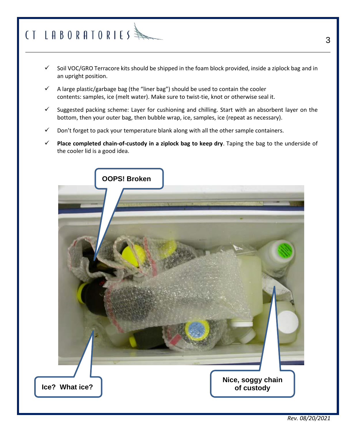# $(1$  LABORATORIES

- Soil VOC/GRO Terracore kits should be shipped in the foam block provided, inside a ziplock bag and in an upright position.
- $\checkmark$  A large plastic/garbage bag (the "liner bag") should be used to contain the cooler contents: samples, ice (melt water). Make sure to twist-tie, knot or otherwise seal it.
- $\checkmark$  Suggested packing scheme: Layer for cushioning and chilling. Start with an absorbent layer on the bottom, then your outer bag, then bubble wrap, ice, samples, ice (repeat as necessary).
- $\checkmark$  Don't forget to pack your temperature blank along with all the other sample containers.
- Place completed chain-of-custody in a ziplock bag to keep dry. Taping the bag to the underside of the cooler lid is a good idea.

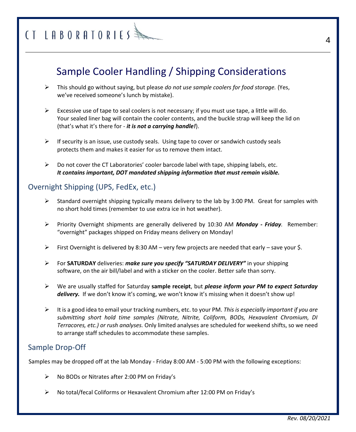### Sample Cooler Handling / Shipping Considerations

- ➢ This should go without saying, but please *do not use sample coolers for food storage.* (Yes, we've received someone's lunch by mistake).
- $\triangleright$  Excessive use of tape to seal coolers is not necessary; if you must use tape, a little will do. Your sealed liner bag will contain the cooler contents, and the buckle strap will keep the lid on (that's what it's there for - *it is not a carrying handle!*).
- $\triangleright$  If security is an issue, use custody seals. Using tape to cover or sandwich custody seals protects them and makes it easier for us to remove them intact.
- $\triangleright$  Do not cover the CT Laboratories' cooler barcode label with tape, shipping labels, etc. *It contains important, DOT mandated shipping information that must remain visible.*

### Overnight Shipping (UPS, FedEx, etc.)

- $\triangleright$  Standard overnight shipping typically means delivery to the lab by 3:00 PM. Great for samples with no short hold times (remember to use extra ice in hot weather).
- ➢ Priority Overnight shipments are generally delivered by 10:30 AM *Monday - Friday.* Remember: "overnight" packages shipped on Friday means delivery on Monday!
- $\triangleright$  First Overnight is delivered by 8:30 AM very few projects are needed that early save your \$.
- ➢ For **SATURDAY** deliveries: *make sure you specify "SATURDAY DELIVERY"* in your shipping software, on the air bill/label and with a sticker on the cooler. Better safe than sorry.
- ➢ We are usually staffed for Saturday **sample receipt**, but *please inform your PM to expect Saturday*  delivery. If we don't know it's coming, we won't know it's missing when it doesn't show up!
- ➢ It is a good idea to email your tracking numbers, etc. to your PM. *This is especially important if you are submitting short hold time samples (Nitrate, Nitrite, Coliform, BODs, Hexavalent Chromium, DI Terracores, etc.) or rush analyses.* Only limited analyses are scheduled for weekend shifts, so we need to arrange staff schedules to accommodate these samples.

### Sample Drop-Off

Samples may be dropped off at the lab Monday - Friday 8:00 AM - 5:00 PM with the following exceptions:

- ➢ No BODs or Nitrates after 2:00 PM on Friday's
- ➢ No total/fecal Coliforms or Hexavalent Chromium after 12:00 PM on Friday's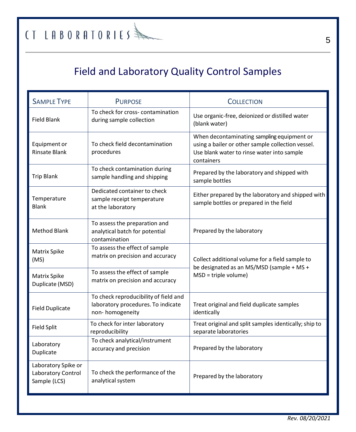## Field and Laboratory Quality Control Samples

| <b>SAMPLE TYPE</b>                                        | <b>PURPOSE</b>                                                                                 | <b>COLLECTION</b>                                                                                                                                           |  |  |  |
|-----------------------------------------------------------|------------------------------------------------------------------------------------------------|-------------------------------------------------------------------------------------------------------------------------------------------------------------|--|--|--|
| <b>Field Blank</b>                                        | To check for cross-contamination<br>during sample collection                                   | Use organic-free, deionized or distilled water<br>(blank water)                                                                                             |  |  |  |
| Equipment or<br><b>Rinsate Blank</b>                      | To check field decontamination<br>procedures                                                   | When decontaminating sampling equipment or<br>using a bailer or other sample collection vessel.<br>Use blank water to rinse water into sample<br>containers |  |  |  |
| <b>Trip Blank</b>                                         | To check contamination during<br>sample handling and shipping                                  | Prepared by the laboratory and shipped with<br>sample bottles                                                                                               |  |  |  |
| Temperature<br><b>Blank</b>                               | Dedicated container to check<br>sample receipt temperature<br>at the laboratory                | Either prepared by the laboratory and shipped with<br>sample bottles or prepared in the field                                                               |  |  |  |
| <b>Method Blank</b>                                       | To assess the preparation and<br>analytical batch for potential<br>contamination               | Prepared by the laboratory                                                                                                                                  |  |  |  |
| <b>Matrix Spike</b><br>(MS)                               | To assess the effect of sample<br>matrix on precision and accuracy                             | Collect additional volume for a field sample to<br>be designated as an MS/MSD (sample + MS +                                                                |  |  |  |
| <b>Matrix Spike</b><br>Duplicate (MSD)                    | To assess the effect of sample<br>matrix on precision and accuracy                             | $MSD = triple volume$                                                                                                                                       |  |  |  |
| <b>Field Duplicate</b>                                    | To check reproducibility of field and<br>laboratory procedures. To indicate<br>non-homogeneity | Treat original and field duplicate samples<br>identically                                                                                                   |  |  |  |
| <b>Field Split</b>                                        | To check for inter laboratory<br>reproducibility                                               | Treat original and split samples identically; ship to<br>separate laboratories                                                                              |  |  |  |
| Laboratory<br>Duplicate                                   | To check analytical/instrument<br>accuracy and precision                                       | Prepared by the laboratory                                                                                                                                  |  |  |  |
| Laboratory Spike or<br>Laboratory Control<br>Sample (LCS) | To check the performance of the<br>analytical system                                           | Prepared by the laboratory                                                                                                                                  |  |  |  |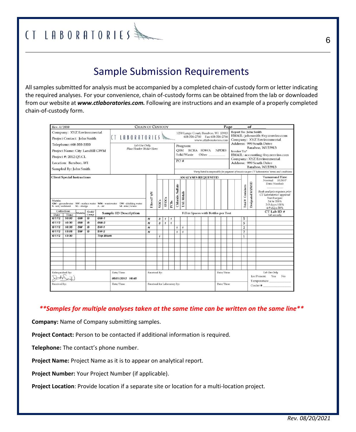## $\text{C}$ T LABORATORIES  $\text{A}$

### Sample Submission Requirements

All samples submitted for analysis must be accompanied by a completed chain-of custody form or letter indicating the required analyses. For your convenience, chain of-custody forms can be obtained from the lab or downloaded from our website at *www.ctlaboratories.com.* Following are instructions and an example of a properly completed chain-of-custody form.

| Rev. 4/2010                                                                                                                                                                          |                    |           |                             | <b>CHAIN OF CUSTODY</b> |                              |                  |                      |                                                                                                 | Page<br>of   |                         |              |                                      |           |                                                                                                                                                                                                                                                                                                     |  |  |                      |                   |                                                                                                                                                                     |                |  |                                 |
|--------------------------------------------------------------------------------------------------------------------------------------------------------------------------------------|--------------------|-----------|-----------------------------|-------------------------|------------------------------|------------------|----------------------|-------------------------------------------------------------------------------------------------|--------------|-------------------------|--------------|--------------------------------------|-----------|-----------------------------------------------------------------------------------------------------------------------------------------------------------------------------------------------------------------------------------------------------------------------------------------------------|--|--|----------------------|-------------------|---------------------------------------------------------------------------------------------------------------------------------------------------------------------|----------------|--|---------------------------------|
| Company: XYZ Environmental<br>LABORATORIES<br>$\overline{1}$<br>Project Contact: John Smith                                                                                          |                    |           |                             |                         |                              |                  |                      | 1230 Lange Court, Baraboo, WI 53913<br>608-356-2760  Fax 608-356-2766<br>www.ctlaboratories.com |              |                         |              |                                      |           | Report To: John Smith<br>EMAIL: johnsmith @xvzenviro.com<br>Company: XYZ Environmental                                                                                                                                                                                                              |  |  |                      |                   |                                                                                                                                                                     |                |  |                                 |
| Telephone: 608-555-5555<br>Lab Use Only<br>Place Header Sticker Here.<br>Project Name: City Landfill GWM<br>Project #: 2012.Q3.CL<br>Location: Baraboo, WI<br>Sampled By: John Smith |                    |           |                             | <b>OSM</b><br>PO#       |                              |                  |                      | Program:<br>RCRA SDWA NPDES<br><b>Solid Waste</b><br>Other                                      |              |                         |              |                                      |           | Address: 999 South Drive<br>Baraboo, WI 53913<br><b>Invoice To:*</b><br><b>EMAIL</b> : accounting @xyzenviro.com<br>Company: XYZ Environmental<br>Address: 999 South Drive<br>Baraboo, WI 53913<br>*Party listed is responsible for payment of invoice as per CT Laboratories' terms and conditions |  |  |                      |                   |                                                                                                                                                                     |                |  |                                 |
| <b>Client Special Instructions</b>                                                                                                                                                   |                    |           |                             |                         |                              |                  |                      |                                                                                                 |              |                         |              | <b>ANALYSES REQUESTED</b>            |           |                                                                                                                                                                                                                                                                                                     |  |  |                      |                   |                                                                                                                                                                     |                |  | <b>Turnaround Time</b>          |
| Matrix:<br>GW - groundwater SW - surface water WW - wastewater DW - drinking water<br>S-soil/sediment<br>SL - sludge<br>$A - air$<br>M - misc/waste                                  |                    |           | Filtered? Y/N               | VOCs                    | <b>SVOCs</b>                 | PCBs             | Sulfate<br>Chloride, | <b>TAL</b> Metals                                                                               |              |                         |              |                                      |           |                                                                                                                                                                                                                                                                                                     |  |  | Containers<br>Total# | Designated MS/MSD | Normal RUSH <sup>®</sup><br>Date Needed:<br>Rush analysis requires prior<br>CT Laboratories' approval<br>Surcharges:<br>24 hr 200%<br>2-3 days 100%<br>4-9 days 50% |                |  |                                 |
| Date                                                                                                                                                                                 | Collection<br>Time | Matrix    | Grab/<br>Comp               |                         | <b>Sample ID Description</b> |                  |                      |                                                                                                 |              |                         |              | Fill in Spaces with Bottles per Test |           |                                                                                                                                                                                                                                                                                                     |  |  |                      |                   |                                                                                                                                                                     |                |  | $CT$ Lab ID $#$<br>Lab use only |
| 6/1/12                                                                                                                                                                               | 10:00              | GW        | G                           | $GW-1$                  |                              | $\boldsymbol{N}$ | 3                    | $\pmb{\mathcal{I}}$                                                                             | $\mathbf{1}$ |                         |              |                                      |           |                                                                                                                                                                                                                                                                                                     |  |  |                      |                   |                                                                                                                                                                     | 5              |  |                                 |
| 6/1/12                                                                                                                                                                               | 10:30              | GW        | G                           | $GW-2$                  |                              | $\boldsymbol{N}$ | 3                    | $\mathbf{1}$                                                                                    | $\mathbf{I}$ |                         |              |                                      |           |                                                                                                                                                                                                                                                                                                     |  |  |                      |                   |                                                                                                                                                                     | 5              |  |                                 |
| 6/1/12                                                                                                                                                                               | 10:35              | SW        | G                           | $SW-1$                  |                              | $\boldsymbol{N}$ |                      |                                                                                                 |              | $\overline{\mathbf{1}}$ | $\mathbf{I}$ |                                      |           |                                                                                                                                                                                                                                                                                                     |  |  |                      |                   |                                                                                                                                                                     | $\,2$          |  |                                 |
| 6/1/12                                                                                                                                                                               | 13:05              | <b>SW</b> | $\overline{G}$              | $SW-2$                  |                              | $\overline{N}$   |                      |                                                                                                 |              | $\mathbf{I}$            | $\mathbf{I}$ |                                      |           |                                                                                                                                                                                                                                                                                                     |  |  |                      |                   |                                                                                                                                                                     | $\overline{2}$ |  |                                 |
| 6/1/12                                                                                                                                                                               | 13:30              |           |                             | <b>Trip Blank</b>       |                              |                  | $\mathbf{I}$         |                                                                                                 |              |                         |              |                                      |           |                                                                                                                                                                                                                                                                                                     |  |  |                      |                   |                                                                                                                                                                     | $\mathbf{1}$   |  |                                 |
|                                                                                                                                                                                      |                    |           |                             |                         |                              |                  |                      |                                                                                                 |              |                         |              |                                      |           |                                                                                                                                                                                                                                                                                                     |  |  |                      |                   |                                                                                                                                                                     |                |  |                                 |
|                                                                                                                                                                                      |                    |           |                             |                         |                              |                  |                      |                                                                                                 |              |                         |              |                                      |           |                                                                                                                                                                                                                                                                                                     |  |  |                      |                   |                                                                                                                                                                     |                |  |                                 |
|                                                                                                                                                                                      |                    |           |                             |                         |                              |                  |                      |                                                                                                 |              |                         |              |                                      |           |                                                                                                                                                                                                                                                                                                     |  |  |                      |                   |                                                                                                                                                                     |                |  |                                 |
| Relinquished By:<br>Date/Time<br>06/01/2012 16:45                                                                                                                                    |                    |           | Received By:                |                         |                              |                  |                      |                                                                                                 | Date/Time    |                         |              |                                      |           | Lab Use Only<br>Ice Present<br>Yes<br>No<br>Temperature                                                                                                                                                                                                                                             |  |  |                      |                   |                                                                                                                                                                     |                |  |                                 |
| Received by:                                                                                                                                                                         |                    | Date/Time | Received for Laboratory by: |                         |                              |                  |                      |                                                                                                 |              |                         |              |                                      | Date/Time |                                                                                                                                                                                                                                                                                                     |  |  |                      | Cooler #          |                                                                                                                                                                     |                |  |                                 |

#### *\*\*Samples for multiple analyses taken at the same time can be written on the same line\*\**

**Company:** Name of Company submitting samples.

**Project Contact:** Person to be contacted if additional information is required.

**Telephone:** The contact's phone number.

**Project Name:** Project Name as it is to appear on analytical report.

**Project Number:** Your Project Number (if applicable).

**Project Location**: Provide location if a separate site or location for a multi-location project.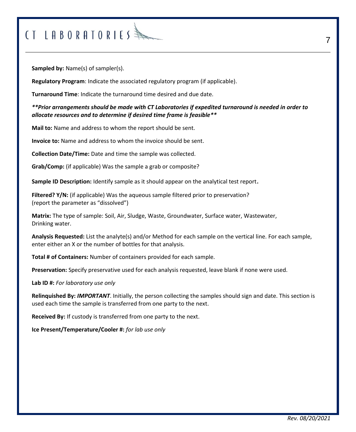## $CTLRBORATORIES$

**Sampled by:** Name(s) of sampler(s).

**Regulatory Program**: Indicate the associated regulatory program (if applicable).

**Turnaround Time**: Indicate the turnaround time desired and due date.

*\*\*Prior arrangements should be made with CT Laboratories if expedited turnaround is needed in order to allocate resources and to determine if desired time frame is feasible\*\**

**Mail to:** Name and address to whom the report should be sent.

**Invoice to:** Name and address to whom the invoice should be sent.

**Collection Date/Time:** Date and time the sample was collected.

**Grab/Comp:** (if applicable) Was the sample a grab or composite?

**Sample ID Description:** Identify sample as it should appear on the analytical test report.

**Filtered? Y/N:** (if applicable) Was the aqueous sample filtered prior to preservation? (report the parameter as "dissolved")

**Matrix:** The type of sample: Soil, Air, Sludge, Waste, Groundwater, Surface water, Wastewater, Drinking water.

**Analysis Requested:** List the analyte(s) and/or Method for each sample on the vertical line. For each sample, enter either an X or the number of bottles for that analysis.

**Total # of Containers:** Number of containers provided for each sample.

**Preservation:** Specify preservative used for each analysis requested, leave blank if none were used.

**Lab ID #:** *For laboratory use only*

**Relinquished By:** *IMPORTANT*. Initially, the person collecting the samples should sign and date. This section is used each time the sample is transferred from one party to the next.

**Received By:** If custody is transferred from one party to the next.

**Ice Present/Temperature/Cooler #:** *for lab use only*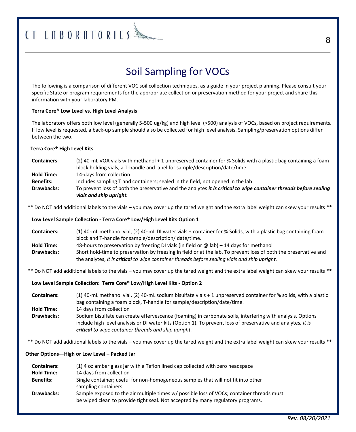## $CTLRBORATORIES$

## Soil Sampling for VOCs

The following is a comparison of different VOC soil collection techniques, as a guide in your project planning. Please consult your specific State or program requirements for the appropriate collection or preservation method for your project and share this information with your laboratory PM.

#### **Terra Core® Low Level vs. High Level Analysis**

The laboratory offers both low level (generally 5-500 ug/kg) and high level (>500) analysis of VOCs, based on project requirements. If low level is requested, a back-up sample should also be collected for high level analysis. Sampling/preservation options differ between the two.

#### **Terra Core® High Level Kits**

| <b>Containers:</b> | (2) 40-mL VOA vials with methanol + 1 unpreserved container for % Solids with a plastic bag containing a foam<br>block holding vials, a T-handle and label for sample/description/date/time |
|--------------------|---------------------------------------------------------------------------------------------------------------------------------------------------------------------------------------------|
| <b>Hold Time:</b>  | 14-days from collection                                                                                                                                                                     |
| <b>Benefits:</b>   | Includes sampling T and containers; sealed in the field, not opened in the lab                                                                                                              |
| <b>Drawbacks:</b>  | To prevent loss of both the preservative and the analytes <i>it is critical to wipe container threads before sealing</i><br>vials and ship upright.                                         |

\*\* Do NOT add additional labels to the vials – you may cover up the tared weight and the extra label weight can skew your results \*\*

#### **Low Level Sample Collection - Terra Core® Low/High Level Kits Option 1**

| <b>Containers:</b> | (1) 40-mL methanol vial, (2) 40-mL DI water vials + container for % Solids, with a plastic bag containing foam   |
|--------------------|------------------------------------------------------------------------------------------------------------------|
|                    | block and T-handle for sample/description/ date/time.                                                            |
| <b>Hold Time:</b>  | 48-hours to preservation by freezing DI vials (in field or $\omega$ lab) – 14 days for methanol                  |
| <b>Drawbacks:</b>  | Short hold-time to preservation by freezing in field or at the lab. To prevent loss of both the preservative and |
|                    | the analytes, it is critical to wipe container threads before sealing vials and ship upright.                    |

\*\* Do NOT add additional labels to the vials – you may cover up the tared weight and the extra label weight can skew your results \*\*

**Low Level Sample Collection: Terra Core® Low/High Level Kits - Option 2**

| <b>Containers:</b> | (1) 40-mL methanol vial, (2) 40-mL sodium bisulfate vials + 1 unpreserved container for % solids, with a plastic<br>bag containing a foam block, T-handle for sample/description/date/time.                                |
|--------------------|----------------------------------------------------------------------------------------------------------------------------------------------------------------------------------------------------------------------------|
| <b>Hold Time:</b>  | 14 days from collection                                                                                                                                                                                                    |
| <b>Drawbacks:</b>  | Sodium bisulfate can create effervescence (foaming) in carbonate soils, interfering with analysis. Options<br>include high level analysis or DI water kits (Option 1). To prevent loss of preservative and analytes, it is |
|                    | critical to wipe container threads and ship upright.                                                                                                                                                                       |

\*\* Do NOT add additional labels to the vials – you may cover up the tared weight and the extra label weight can skew your results \*\*

#### **Other Options—High or Low Level – Packed Jar**

| <b>Containers:</b> | (1) 4 oz amber glass jar with a Teflon lined cap collected with zero headspace                                                                                               |
|--------------------|------------------------------------------------------------------------------------------------------------------------------------------------------------------------------|
| <b>Hold Time:</b>  | 14 days from collection                                                                                                                                                      |
| <b>Benefits:</b>   | Single container; useful for non-homogeneous samples that will not fit into other<br>sampling containers                                                                     |
| <b>Drawbacks:</b>  | Sample exposed to the air multiple times w/ possible loss of VOCs; container threads must<br>be wiped clean to provide tight seal. Not accepted by many regulatory programs. |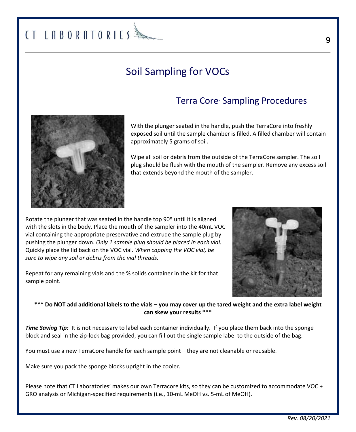## Soil Sampling for VOCs

### Terra Core Sampling Procedures



With the plunger seated in the handle, push the TerraCore into freshly exposed soil until the sample chamber is filled. A filled chamber will contain approximately 5 grams of soil.

Wipe all soil or debris from the outside of the TerraCore sampler. The soil plug should be flush with the mouth of the sampler. Remove any excess soil that extends beyond the mouth of the sampler.

Rotate the plunger that was seated in the handle top  $90<sup>°</sup>$  until it is aligned with the slots in the body. Place the mouth of the sampler into the 40mL VOC vial containing the appropriate preservative and extrude the sample plug by pushing the plunger down. *Only 1 sample plug should be placed in each vial.*  Quickly place the lid back on the VOC vial. *When capping the VOC vial, be sure to wipe any soil or debris from the vial threads.*

Repeat for any remaining vials and the % solids container in the kit for that sample point.



#### **\*\*\* Do NOT add additional labels to the vials – you may cover up the tared weight and the extra label weight can skew your results \*\*\***

*Time Saving Tip:* It is not necessary to label each container individually. If you place them back into the sponge block and seal in the zip-lock bag provided, you can fill out the single sample label to the outside of the bag.

You must use a new TerraCore handle for each sample point—they are not cleanable or reusable.

Make sure you pack the sponge blocks upright in the cooler.

Please note that CT Laboratories' makes our own Terracore kits, so they can be customized to accommodate VOC + GRO analysis or Michigan-specified requirements (i.e., 10-mL MeOH vs. 5-mL of MeOH).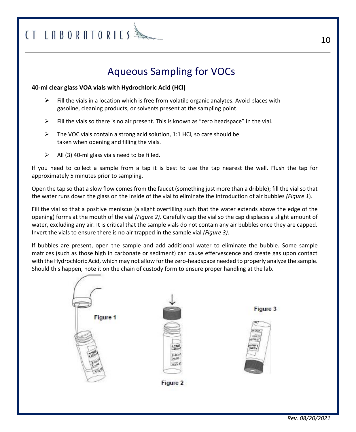### Aqueous Sampling for VOCs

#### **40-ml clear glass VOA vials with Hydrochloric Acid (HCl)**

- $\triangleright$  Fill the vials in a location which is free from volatile organic analytes. Avoid places with gasoline, cleaning products, or solvents present at the sampling point.
- $\triangleright$  Fill the vials so there is no air present. This is known as "zero headspace" in the vial.
- $\triangleright$  The VOC vials contain a strong acid solution, 1:1 HCl, so care should be taken when opening and filling the vials.
- $\triangleright$  All (3) 40-ml glass vials need to be filled.

If you need to collect a sample from a tap it is best to use the tap nearest the well. Flush the tap for approximately 5 minutes prior to sampling.

Open the tap so that a slow flow comes from the faucet (something just more than a dribble); fill the vial so that the water runs down the glass on the inside of the vial to eliminate the introduction of air bubbles *(Figure 1*).

Fill the vial so that a positive meniscus (a slight overfilling such that the water extends above the edge of the opening) forms at the mouth of the vial *(Figure 2)*. Carefully cap the vial so the cap displaces a slight amount of water, excluding any air. It is critical that the sample vials do not contain any air bubbles once they are capped. Invert the vials to ensure there is no air trapped in the sample vial *(Figure 3)*.

If bubbles are present, open the sample and add additional water to eliminate the bubble. Some sample matrices (such as those high in carbonate or sediment) can cause effervescence and create gas upon contact with the Hydrochloric Acid, which may not allow for the zero-headspace needed to properly analyze the sample. Should this happen, note it on the chain of custody form to ensure proper handling at the lab.

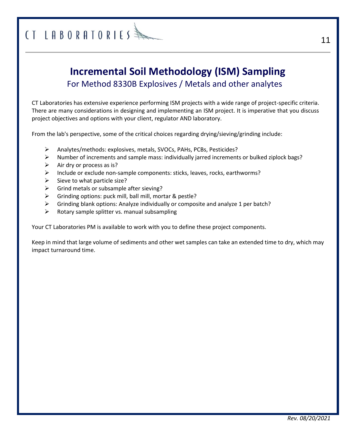## $CTLRBORATORIES$

### **Incremental Soil Methodology (ISM) Sampling** For Method 8330B Explosives / Metals and other analytes

CT Laboratories has extensive experience performing ISM projects with a wide range of project-specific criteria. There are many considerations in designing and implementing an ISM project. It is imperative that you discuss project objectives and options with your client, regulator AND laboratory.

From the lab's perspective, some of the critical choices regarding drying/sieving/grinding include:

- ➢ Analytes/methods: explosives, metals, SVOCs, PAHs, PCBs, Pesticides?
- $\triangleright$  Number of increments and sample mass: individually jarred increments or bulked ziplock bags?
- $\triangleright$  Air dry or process as is?
- $\triangleright$  Include or exclude non-sample components: sticks, leaves, rocks, earthworms?
- $\triangleright$  Sieve to what particle size?
- $\triangleright$  Grind metals or subsample after sieving?
- $\triangleright$  Grinding options: puck mill, ball mill, mortar & pestle?
- $\triangleright$  Grinding blank options: Analyze individually or composite and analyze 1 per batch?
- $\triangleright$  Rotary sample splitter vs. manual subsampling

Your CT Laboratories PM is available to work with you to define these project components.

Keep in mind that large volume of sediments and other wet samples can take an extended time to dry, which may impact turnaround time.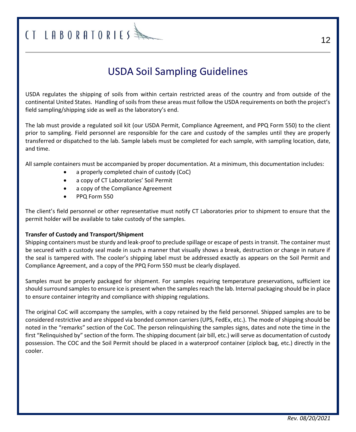## $CTLRBORATORIES$

### USDA Soil Sampling Guidelines

USDA regulates the shipping of soils from within certain restricted areas of the country and from outside of the continental United States. Handling of soils from these areas must follow the USDA requirements on both the project's field sampling/shipping side as well as the laboratory's end.

The lab must provide a regulated soil kit (our USDA Permit, Compliance Agreement, and PPQ Form 550) to the client prior to sampling. Field personnel are responsible for the care and custody of the samples until they are properly transferred or dispatched to the lab. Sample labels must be completed for each sample, with sampling location, date, and time.

All sample containers must be accompanied by proper documentation. At a minimum, this documentation includes:

- a properly completed chain of custody (CoC)
- a copy of CT Laboratories' Soil Permit
- a copy of the Compliance Agreement
- PPQ Form 550

The client's field personnel or other representative must notify CT Laboratories prior to shipment to ensure that the permit holder will be available to take custody of the samples.

#### **Transfer of Custody and Transport/Shipment**

Shipping containers must be sturdy and leak-proof to preclude spillage or escape of pests in transit. The container must be secured with a custody seal made in such a manner that visually shows a break, destruction or change in nature if the seal is tampered with. The cooler's shipping label must be addressed exactly as appears on the Soil Permit and Compliance Agreement, and a copy of the PPQ Form 550 must be clearly displayed.

Samples must be properly packaged for shipment. For samples requiring temperature preservations, sufficient ice should surround samples to ensure ice is present when the samples reach the lab. Internal packaging should be in place to ensure container integrity and compliance with shipping regulations.

The original CoC will accompany the samples, with a copy retained by the field personnel. Shipped samples are to be considered restrictive and are shipped via bonded common carriers (UPS, FedEx, etc.). The mode of shipping should be noted in the "remarks" section of the CoC. The person relinquishing the samples signs, dates and note the time in the first "Relinquished by" section of the form. The shipping document (air bill, etc.) will serve as documentation of custody possession. The COC and the Soil Permit should be placed in a waterproof container (ziplock bag, etc.) directly in the cooler.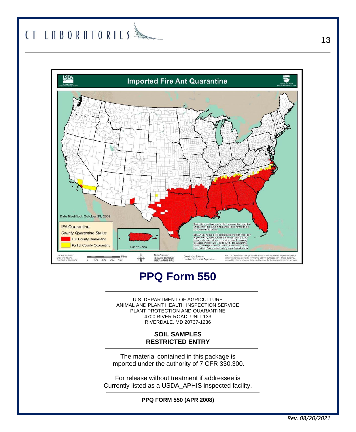## 



## **PPQ Form 550**

U.S. DEPARTMENT OF AGRICULTURE ANIMAL AND PLANT HEALTH INSPECTION SERVICE PLANT PROTECTION AND QUARANTINE 4700 RIVER ROAD, UNIT 133 RIVERDALE, MD 20737-1236

#### **SOIL SAMPLES RESTRICTED ENTRY**

The material contained in this package is imported under the authority of 7 CFR 330.300.

For release without treatment if addressee is Currently listed as a USDA\_APHIS inspected facility.

**PPQ FORM 550 (APR 2008)**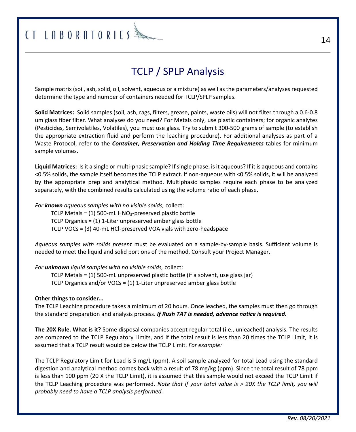## $($ T LABORATORIES  $\frac{3}{2}$

## TCLP / SPLP Analysis

Sample matrix (soil, ash, solid, oil, solvent, aqueous or a mixture) as well as the parameters/analyses requested determine the type and number of containers needed for TCLP/SPLP samples.

**Solid Matrices:** Solid samples (soil, ash, rags, filters, grease, paints, waste oils) will not filter through a 0.6-0.8 um glass fiber filter. What analyses do you need? For Metals only, use plastic containers; for organic analytes (Pesticides, Semivolatiles, Volatiles), you must use glass. Try to submit 300-500 grams of sample (to establish the appropriate extraction fluid and perform the leaching procedure). For additional analyses as part of a Waste Protocol, refer to the *Container, Preservation and Holding Time Requirements* tables for minimum sample volumes.

**Liquid Matrices:** Is it a single or multi-phasic sample? If single phase, is it aqueous? If it is aqueous and contains <0.5% solids, the sample itself becomes the TCLP extract. If non-aqueous with <0.5% solids, it will be analyzed by the appropriate prep and analytical method. Multiphasic samples require each phase to be analyzed separately, with the combined results calculated using the volume ratio of each phase.

#### *For known aqueous samples with no visible solids,* collect:

TCLP Metals =  $(1)$  500-mL HNO<sub>3</sub>-preserved plastic bottle TCLP Organics = (1) 1-Liter unpreserved amber glass bottle TCLP VOCs = (3) 40-mL HCl-preserved VOA vials with zero-headspace

*Aqueous samples with solids present* must be evaluated on a sample-by-sample basis. Sufficient volume is needed to meet the liquid and solid portions of the method. Consult your Project Manager.

#### *For unknown liquid samples with no visible solids,* collect:

TCLP Metals = (1) 500-mL unpreserved plastic bottle (if a solvent, use glass jar) TCLP Organics and/or VOCs = (1) 1-Liter unpreserved amber glass bottle

#### **Other things to consider…**

The TCLP Leaching procedure takes a minimum of 20 hours. Once leached, the samples must then go through the standard preparation and analysis process. *If Rush TAT is needed, advance notice is required.*

**The 20X Rule. What is it?** Some disposal companies accept regular total (i.e., unleached) analysis. The results are compared to the TCLP Regulatory Limits, and if the total result is less than 20 times the TCLP Limit, it is assumed that a TCLP result would be below the TCLP Limit. *For example:*

The TCLP Regulatory Limit for Lead is 5 mg/L (ppm). A soil sample analyzed for total Lead using the standard digestion and analytical method comes back with a result of 78 mg/kg (ppm). Since the total result of 78 ppm is less than 100 ppm (20 X the TCLP Limit), it is assumed that this sample would not exceed the TCLP Limit if the TCLP Leaching procedure was performed. *Note that if your total value is > 20X the TCLP limit, you will probably need to have a TCLP analysis performed.*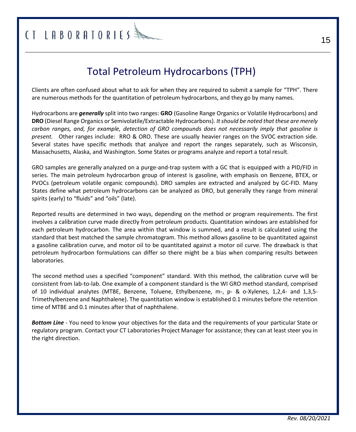## CT LABORATORIES<sup>\$</sup>

## Total Petroleum Hydrocarbons (TPH)

Clients are often confused about what to ask for when they are required to submit a sample for "TPH". There are numerous methods for the quantitation of petroleum hydrocarbons, and they go by many names.

Hydrocarbons are *generally* split into two ranges: **GRO** (Gasoline Range Organics or Volatile Hydrocarbons) and **DRO** (Diesel Range Organics or Semivolatile/Extractable Hydrocarbons). *It should be noted that these are merely carbon ranges, and, for example, detection of GRO compounds does not necessarily imply that gasoline is present.* Other ranges include: RRO & ORO. These are usually heavier ranges on the SVOC extraction side. Several states have specific methods that analyze and report the ranges separately, such as Wisconsin, Massachusetts, Alaska, and Washington. Some States or programs analyze and report a total result.

GRO samples are generally analyzed on a purge-and-trap system with a GC that is equipped with a PID/FID in series. The main petroleum hydrocarbon group of interest is gasoline, with emphasis on Benzene, BTEX, or PVOCs (petroleum volatile organic compounds). DRO samples are extracted and analyzed by GC-FID. Many States define what petroleum hydrocarbons can be analyzed as DRO, but generally they range from mineral spirits (early) to "fluids" and "oils" (late).

Reported results are determined in two ways, depending on the method or program requirements. The first involves a calibration curve made directly from petroleum products. Quantitation windows are established for each petroleum hydrocarbon. The area within that window is summed, and a result is calculated using the standard that best matched the sample chromatogram. This method allows gasoline to be quantitated against a gasoline calibration curve, and motor oil to be quantitated against a motor oil curve. The drawback is that petroleum hydrocarbon formulations can differ so there might be a bias when comparing results between laboratories.

The second method uses a specified "component" standard. With this method, the calibration curve will be consistent from lab-to-lab. One example of a component standard is the WI GRO method standard, comprised of 10 individual analytes (MTBE, Benzene, Toluene, Ethylbenzene, m-, p- & o-Xylenes, 1,2,4- and 1,3,5- Trimethylbenzene and Naphthalene). The quantitation window is established 0.1 minutes before the retention time of MTBE and 0.1 minutes after that of naphthalene.

*Bottom Line* - You need to know your objectives for the data and the requirements of your particular State or regulatory program. Contact your CT Laboratories Project Manager for assistance; they can at least steer you in the right direction.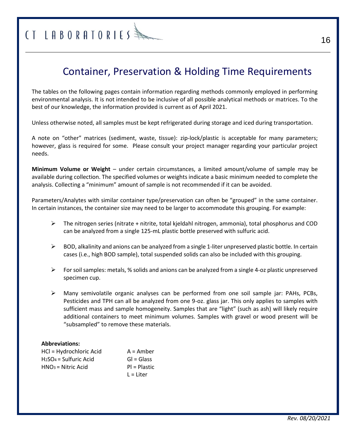### Container, Preservation & Holding Time Requirements

The tables on the following pages contain information regarding methods commonly employed in performing environmental analysis. It is not intended to be inclusive of all possible analytical methods or matrices. To the best of our knowledge, the information provided is current as of April 2021.

Unless otherwise noted, all samples must be kept refrigerated during storage and iced during transportation.

A note on "other" matrices (sediment, waste, tissue): zip-lock/plastic is acceptable for many parameters; however, glass is required for some. Please consult your project manager regarding your particular project needs.

**Minimum Volume or Weight** – under certain circumstances, a limited amount/volume of sample may be available during collection. The specified volumes or weights indicate a basic minimum needed to complete the analysis. Collecting a "minimum" amount of sample is not recommended if it can be avoided.

Parameters/Analytes with similar container type/preservation can often be "grouped" in the same container. In certain instances, the container size may need to be larger to accommodate this grouping. For example:

- $\triangleright$  The nitrogen series (nitrate + nitrite, total kjeldahl nitrogen, ammonia), total phosphorus and COD can be analyzed from a single 125-mL plastic bottle preserved with sulfuric acid.
- $\triangleright$  BOD, alkalinity and anions can be analyzed from a single 1-liter unpreserved plastic bottle. In certain cases (i.e., high BOD sample), total suspended solids can also be included with this grouping.
- $\triangleright$  For soil samples: metals, % solids and anions can be analyzed from a single 4-oz plastic unpreserved specimen cup.
- $\triangleright$  Many semivolatile organic analyses can be performed from one soil sample jar: PAHs, PCBs, Pesticides and TPH can all be analyzed from one 9-oz. glass jar. This only applies to samples with sufficient mass and sample homogeneity. Samples that are "light" (such as ash) will likely require additional containers to meet minimum volumes. Samples with gravel or wood present will be "subsampled" to remove these materials.

#### **Abbreviations:**

| HCl = Hydrochloric Acid | $A =$ Amber    |
|-------------------------|----------------|
| $H2SO4 = Sulfuric Acid$ | $Gl = Glass$   |
| $HNO3 = Nitric Acid$    | $PI = Plastic$ |
|                         | $L =$ Liter    |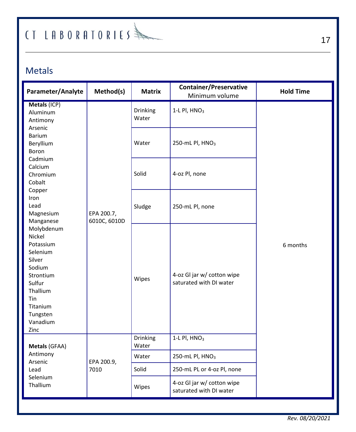### Metals

| Parameter/Analyte                                                                                                                                              | Method(s)                                       | <b>Matrix</b>     | <b>Container/Preservative</b><br>Minimum volume       | <b>Hold Time</b> |
|----------------------------------------------------------------------------------------------------------------------------------------------------------------|-------------------------------------------------|-------------------|-------------------------------------------------------|------------------|
| Metals (ICP)<br>Aluminum<br>Antimony<br>Arsenic                                                                                                                |                                                 | Drinking<br>Water | $1-L$ Pl, $HNO3$                                      |                  |
| <b>Barium</b><br>Beryllium<br>Boron                                                                                                                            |                                                 | Water             | 250-mL Pl, HNO <sub>3</sub>                           |                  |
| Calcium<br>Chromium<br>Cobalt                                                                                                                                  | Cadmium<br>Copper<br>EPA 200.7,<br>6010C, 6010D | Solid             | 4-oz Pl, none                                         |                  |
| Iron<br>Lead<br>Magnesium<br>Manganese                                                                                                                         |                                                 | Sludge            | 250-mL Pl, none                                       | 6 months         |
| Molybdenum<br><b>Nickel</b><br>Potassium<br>Selenium<br>Silver<br>Sodium<br>Strontium<br>Sulfur<br>Thallium<br>Tin<br>Titanium<br>Tungsten<br>Vanadium<br>Zinc |                                                 | Wipes             | 4-oz Gl jar w/ cotton wipe<br>saturated with DI water |                  |
| Metals (GFAA)                                                                                                                                                  |                                                 | Drinking<br>Water | 1-L Pl, HNO <sub>3</sub>                              |                  |
| Antimony<br>Arsenic                                                                                                                                            | EPA 200.9,                                      | Water             | 250-mL Pl, HNO <sub>3</sub>                           |                  |
| Lead<br>Selenium<br>Thallium                                                                                                                                   | 7010                                            | Solid             | 250-mL PL or 4-oz Pl, none                            |                  |
|                                                                                                                                                                |                                                 | Wipes             | 4-oz Gl jar w/ cotton wipe<br>saturated with DI water |                  |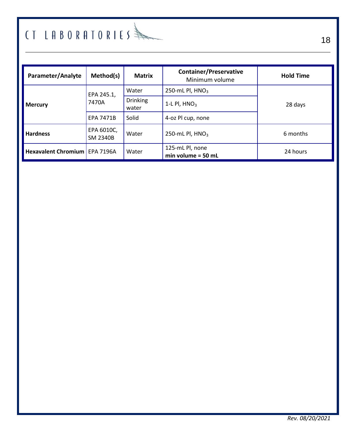| Parameter/Analyte               | Method(s)                     | <b>Matrix</b>            | <b>Container/Preservative</b><br>Minimum volume | <b>Hold Time</b> |
|---------------------------------|-------------------------------|--------------------------|-------------------------------------------------|------------------|
| <b>Mercury</b>                  | EPA 245.1,                    | Water                    | 250-mL Pl, $HNO3$                               |                  |
|                                 | 7470A                         | <b>Drinking</b><br>water | 1-L PI, $HNO3$                                  | 28 days          |
|                                 | <b>EPA 7471B</b>              | Solid                    | 4-oz Pl cup, none                               |                  |
| <b>Hardness</b>                 | EPA 6010C,<br><b>SM 2340B</b> | Water                    | 250-mL Pl. $HNO3$                               | 6 months         |
| Hexavalent Chromium   EPA 7196A |                               | Water                    | 125-mL Pl, none<br>$min$ volume = 50 mL         | 24 hours         |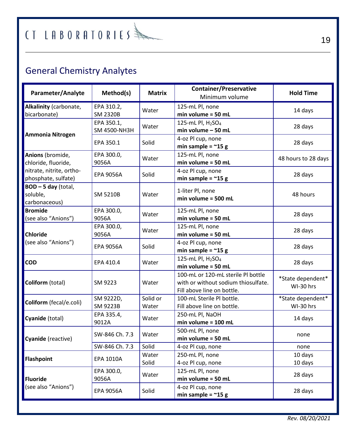## $f$  [  $I$   $A$   $B$   $0$   $R$   $A$   $T$   $0$   $R$   $I$   $E$   $S$   $\Rightarrow$

## General Chemistry Analytes

| Parameter/Analyte                               | Method(s)                     | <b>Matrix</b>     | <b>Container/Preservative</b><br>Minimum volume                                                         | <b>Hold Time</b>               |
|-------------------------------------------------|-------------------------------|-------------------|---------------------------------------------------------------------------------------------------------|--------------------------------|
| Alkalinity (carbonate,<br>bicarbonate)          | EPA 310.2,<br><b>SM 2320B</b> | Water             | 125-mL Pl, none<br>$min$ volume = 50 mL                                                                 | 14 days                        |
| Ammonia Nitrogen                                | EPA 350.1,<br>SM 4500-NH3H    | Water             | 125-mL Pl, H <sub>2</sub> SO <sub>4</sub><br>min volume - 50 mL                                         | 28 days                        |
|                                                 | EPA 350.1                     | Solid             | 4-oz Pl cup, none<br>min sample = $~15 g$                                                               | 28 days                        |
| Anions (bromide,<br>chloride, fluoride,         | EPA 300.0,<br>9056A           | Water             | 125-mL Pl, none<br>min volume = 50 mL                                                                   | 48 hours to 28 days            |
| nitrate, nitrite, ortho-<br>phosphate, sulfate) | <b>EPA 9056A</b>              | Solid             | 4-oz Pl cup, none<br>min sample = $\approx$ 15 g                                                        | 28 days                        |
| BOD-5 day (total,<br>soluble,<br>carbonaceous)  | <b>SM 5210B</b>               | Water             | 1-liter Pl, none<br>$min$ volume = 500 mL                                                               | 48 hours                       |
| <b>Bromide</b><br>(see also "Anions")           | EPA 300.0,<br>9056A           | Water             | 125-mL Pl, none<br>$min$ volume = 50 mL                                                                 | 28 days                        |
| <b>Chloride</b><br>(see also "Anions")          | EPA 300.0,<br>9056A           | Water             | 125-mL Pl, none<br>$min$ volume = 50 mL                                                                 | 28 days                        |
|                                                 | <b>EPA 9056A</b>              | Solid             | 4-oz Pl cup, none<br>min sample = $~15 g$                                                               | 28 days                        |
| COD                                             | EPA 410.4                     | Water             | 125-mL Pl, H <sub>2</sub> SO <sub>4</sub><br>$min$ volume = 50 mL                                       | 28 days                        |
| Coliform (total)                                | SM 9223                       | Water             | 100-mL or 120-mL sterile PI bottle<br>with or without sodium thiosulfate.<br>Fill above line on bottle. | *State dependent*<br>WI-30 hrs |
| Coliform (fecal/e.coli)                         | SM 9222D,<br><b>SM 9223B</b>  | Solid or<br>Water | 100-mL Sterile PI bottle.<br>Fill above line on bottle.                                                 | *State dependent*<br>WI-30 hrs |
| Cyanide (total)                                 | EPA 335.4,<br>9012A           | Water             | 250-mL Pl, NaOH<br>min volume = 100 mL                                                                  | 14 days                        |
| Cyanide (reactive)                              | SW-846 Ch. 7.3                | Water             | 500-mL Pl, none<br>$min$ volume = 50 mL                                                                 | none                           |
|                                                 | SW-846 Ch. 7.3                | Solid             | 4-oz Pl cup, none                                                                                       | none                           |
| <b>Flashpoint</b>                               | <b>EPA 1010A</b>              | Water<br>Solid    | 250-mL Pl, none<br>4-oz Pl cup, none                                                                    | 10 days<br>10 days             |
| <b>Fluoride</b>                                 | EPA 300.0,<br>9056A           | Water             | 125-mL Pl, none<br>min volume = $50$ mL                                                                 | 28 days                        |
| (see also "Anions")                             | <b>EPA 9056A</b>              | Solid             | 4-oz Pl cup, none<br>min sample = $~15 g$                                                               | 28 days                        |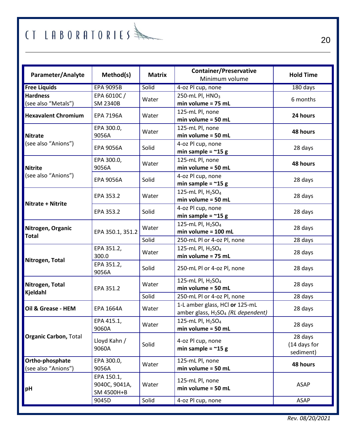| Parameter/Analyte                      | Method(s)                                 | <b>Matrix</b> | <b>Container/Preservative</b><br>Minimum volume                         | <b>Hold Time</b>                     |
|----------------------------------------|-------------------------------------------|---------------|-------------------------------------------------------------------------|--------------------------------------|
| <b>Free Liquids</b>                    | <b>EPA 9095B</b>                          | Solid         | 4-oz Pl cup, none                                                       | 180 days                             |
| <b>Hardness</b><br>(see also "Metals") | EPA 6010C /<br><b>SM 2340B</b>            | Water         | 250-mL Pl, HNO <sub>3</sub><br>min volume = 75 mL                       | 6 months                             |
| <b>Hexavalent Chromium</b>             | <b>EPA 7196A</b>                          | Water         | 125-mL Pl, none<br>$min$ volume = 50 mL                                 | 24 hours                             |
| <b>Nitrate</b>                         | EPA 300.0,<br>9056A                       | Water         | 125-mL Pl, none<br>min volume = 50 mL                                   | 48 hours                             |
| (see also "Anions")                    | <b>EPA 9056A</b>                          | Solid         | 4-oz Pl cup, none<br>min sample = $\approx$ 15 g                        | 28 days                              |
| <b>Nitrite</b>                         | EPA 300.0,<br>9056A                       | Water         | 125-mL Pl, none<br>min volume = 50 mL                                   | 48 hours                             |
| (see also "Anions")                    | <b>EPA 9056A</b>                          | Solid         | 4-oz Pl cup, none<br>min sample = $~15 g$                               | 28 days                              |
| <b>Nitrate + Nitrite</b>               | EPA 353.2                                 | Water         | 125-mL Pl, H <sub>2</sub> SO <sub>4</sub><br>min volume = 50 mL         | 28 days                              |
|                                        | EPA 353.2                                 | Solid         | 4-oz Pl cup, none<br>min sample = $\approx$ 15 g                        | 28 days                              |
| Nitrogen, Organic                      | EPA 350.1, 351.2                          | Water         | 125-mL Pl, H <sub>2</sub> SO <sub>4</sub><br>$min$ volume = 100 mL      | 28 days                              |
| <b>Total</b>                           |                                           | Solid         | 250-mL Pl or 4-oz Pl, none                                              | 28 days                              |
| Nitrogen, Total                        | EPA 351.2,<br>300.0                       | Water         | 125-mL Pl, H <sub>2</sub> SO <sub>4</sub><br>min volume = 75 mL         | 28 days                              |
|                                        | EPA 351.2,<br>9056A                       | Solid         | 250-mL Pl or 4-oz Pl, none                                              | 28 days                              |
| Nitrogen, Total<br>Kjeldahl            | EPA 351.2                                 | Water         | 125-mL Pl, $H_2SO_4$<br>$min$ volume = 50 mL                            | 28 days                              |
|                                        |                                           | Solid         | 250-mL Pl or 4-oz Pl, none                                              | 28 days                              |
| Oil & Grease - HEM                     | <b>EPA 1664A</b>                          | Water         | 1-L amber glass, HCl or 125-mL<br>amber glass, $H_2SO_4$ (RL dependent) | 28 days                              |
|                                        | EPA 415.1,<br>9060A                       | Water         | 125-mL Pl, H <sub>2</sub> SO <sub>4</sub><br>min volume = 50 mL         | 28 days                              |
| Organic Carbon, Total                  | Lloyd Kahn /<br>9060A                     | Solid         | 4-oz Pl cup, none<br>min sample = $\approx$ 15 g                        | 28 days<br>(14 days for<br>sediment) |
| Ortho-phosphate                        | EPA 300.0,                                | Water         | 125-mL Pl, none                                                         | 48 hours                             |
| (see also "Anions")                    | 9056A                                     |               | min volume = 50 mL                                                      |                                      |
| рH                                     | EPA 150.1.<br>9040C, 9041A,<br>SM 4500H+B | Water         | 125-mL Pl, none<br>$min$ volume = 50 mL                                 | <b>ASAP</b>                          |
|                                        | 9045D                                     | Solid         | 4-oz Pl cup, none                                                       | <b>ASAP</b>                          |

*Rev. 08/20/2021*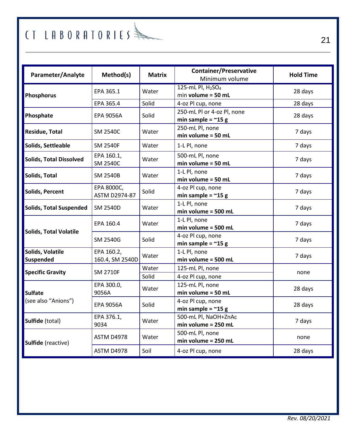| Parameter/Analyte              | Method(s)                          | <b>Matrix</b>  | <b>Container/Preservative</b><br>Minimum volume                   | <b>Hold Time</b> |
|--------------------------------|------------------------------------|----------------|-------------------------------------------------------------------|------------------|
| Phosphorus                     | EPA 365.1                          | Water          | 125-mL Pl, H <sub>2</sub> SO <sub>4</sub><br>$min$ volume = 50 mL | 28 days          |
|                                | EPA 365.4                          | Solid          | 4-oz Pl cup, none                                                 | 28 days          |
| Phosphate                      | <b>EPA 9056A</b>                   | Solid          | 250-mL Pl or 4-oz Pl. none<br>min sample = $~15 g$                | 28 days          |
| Residue, Total                 | <b>SM 2540C</b>                    | Water          | 250-mL Pl, none<br>$min$ volume = 50 mL                           | 7 days           |
| Solids, Settleable             | <b>SM 2540F</b>                    | Water          | 1-L Pl, none                                                      | 7 days           |
| <b>Solids, Total Dissolved</b> | EPA 160.1,<br><b>SM 2540C</b>      | Water          | 500-mL Pl, none<br>$min$ volume = 50 mL                           | 7 days           |
| Solids, Total                  | <b>SM 2540B</b>                    | Water          | 1-L Pl, none<br>$min$ volume = 50 mL                              | 7 days           |
| Solids, Percent                | EPA 8000C.<br><b>ASTM D2974-87</b> | Solid          | 4-oz Pl cup, none<br>min sample = $\approx$ 15 g                  | 7 days           |
| <b>Solids, Total Suspended</b> | <b>SM 2540D</b>                    | Water          | 1-L Pl, none<br>$min$ volume = 500 mL                             | 7 days           |
| <b>Solids, Total Volatile</b>  | EPA 160.4                          | Water          | 1-L Pl, none<br>$min$ volume = 500 mL                             | 7 days           |
|                                | SM 2540G                           | Solid          | 4-oz Pl cup, none<br>min sample = $~15 g$                         | 7 days           |
| Solids, Volatile<br>Suspended  | EPA 160.2,<br>160.4, SM 2540D      | Water          | 1-L Pl, none<br>$min$ volume = 500 mL                             | 7 days           |
| <b>Specific Gravity</b>        | <b>SM 2710F</b>                    | Water<br>Solid | 125-mL Pl, none<br>4-oz Pl cup, none                              | none             |
| <b>Sulfate</b>                 | EPA 300.0,<br>9056A                | Water          | 125-mL Pl, none<br>$min$ volume = 50 $m$ L                        | 28 days          |
| (see also "Anions")            | <b>EPA 9056A</b>                   | Solid          | 4-oz Pl cup, none<br>min sample = $\approx$ 15 g                  | 28 days          |
| Sulfide (total)                | EPA 376.1,<br>9034                 | Water          | 500-mL Pl. NaOH+ZnAc<br>$min$ volume = 250 mL                     | 7 days           |
| Sulfide (reactive)             | ASTM D4978                         | Water          | 500-mL Pl, none<br>$min$ volume = 250 mL                          | none             |
|                                | <b>ASTM D4978</b>                  | Soil           | 4-oz Pl cup, none                                                 | 28 days          |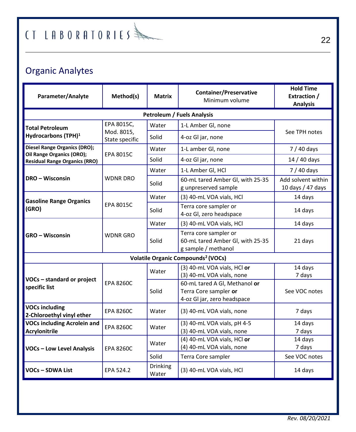## Organic Analytes

| Parameter/Analyte                                                | Method(s)                    | <b>Matrix</b>     | <b>Container/Preservative</b><br>Minimum volume                                       | <b>Hold Time</b><br><b>Extraction /</b><br><b>Analysis</b> |  |  |  |
|------------------------------------------------------------------|------------------------------|-------------------|---------------------------------------------------------------------------------------|------------------------------------------------------------|--|--|--|
| <b>Petroleum / Fuels Analysis</b>                                |                              |                   |                                                                                       |                                                            |  |  |  |
| <b>Total Petroleum</b>                                           | EPA 8015C.                   | Water             | 1-L Amber Gl, none                                                                    |                                                            |  |  |  |
| Hydrocarbons (TPH) <sup>1</sup>                                  | Mod. 8015,<br>State specific | Solid             | 4-oz Gl jar, none                                                                     | See TPH notes                                              |  |  |  |
| <b>Diesel Range Organics (DRO);</b><br>Oil Range Organics (ORO); | <b>EPA 8015C</b>             | Water             | 1-L amber Gl, none                                                                    | $7/40$ days                                                |  |  |  |
| <b>Residual Range Organics (RRO)</b>                             |                              | Solid             | 4-oz Gl jar, none                                                                     | 14 / 40 days                                               |  |  |  |
|                                                                  |                              | Water             | 1-L Amber Gl, HCl                                                                     | $7/40$ days                                                |  |  |  |
| DRO - Wisconsin                                                  | <b>WDNR DRO</b>              | Solid             | 60-mL tared Amber Gl, with 25-35<br>g unpreserved sample                              | Add solvent within<br>10 days / 47 days                    |  |  |  |
| <b>Gasoline Range Organics</b>                                   |                              | Water             | (3) 40-mL VOA vials, HCl                                                              | 14 days                                                    |  |  |  |
| (GRO)                                                            | <b>EPA 8015C</b>             | Solid             | Terra core sampler or<br>4-oz Gl, zero headspace                                      | 14 days                                                    |  |  |  |
|                                                                  | <b>WDNR GRO</b>              | Water             | (3) 40-mL VOA vials, HCl                                                              | 14 days                                                    |  |  |  |
| <b>GRO</b> – Wisconsin                                           |                              | Solid             | Terra core sampler or<br>60-mL tared Amber GI, with 25-35<br>g sample / methanol      | 21 days                                                    |  |  |  |
|                                                                  |                              |                   | Volatile Organic Compounds <sup>2</sup> (VOCs)                                        |                                                            |  |  |  |
|                                                                  |                              | Water             | (3) 40-mL VOA vials, HCl or<br>(3) 40-mL VOA vials, none                              | 14 days<br>7 days                                          |  |  |  |
| VOCs - standard or project<br>specific list                      | <b>EPA 8260C</b>             | Solid             | 60-mL tared A GI, Methanol or<br>Terra Core sampler or<br>4-oz Gl jar, zero headspace | See VOC notes                                              |  |  |  |
| <b>VOCs including</b><br>2-Chloroethyl vinyl ether               | <b>EPA 8260C</b>             | Water             | (3) 40-mL VOA vials, none                                                             | 7 days                                                     |  |  |  |
| <b>VOCs including Acrolein and</b><br><b>Acrylonitrile</b>       | <b>EPA 8260C</b>             | Water             | (3) 40-mL VOA vials, pH 4-5<br>(3) 40-mL VOA vials, none                              | 14 days<br>7 days                                          |  |  |  |
| <b>VOCs - Low Level Analysis</b>                                 | <b>EPA 8260C</b>             | Water             | (4) 40-mL VOA vials, HCl or<br>(4) 40-mL VOA vials, none                              | 14 days<br>7 days                                          |  |  |  |
|                                                                  |                              | Solid             | Terra Core sampler                                                                    | See VOC notes                                              |  |  |  |
| VOCs - SDWA List                                                 | EPA 524.2                    | Drinking<br>Water | (3) 40-mL VOA vials, HCl                                                              | 14 days                                                    |  |  |  |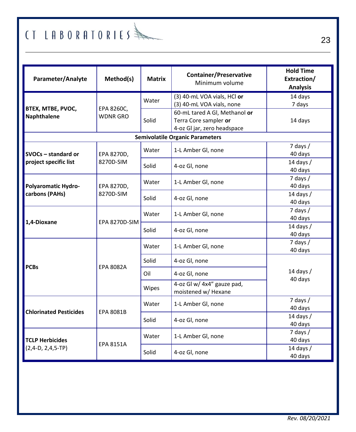| Parameter/Analyte                     | Method(s)                     | Matrix | <b>Container/Preservative</b><br>Minimum volume                                       | <b>Hold Time</b><br>Extraction/<br><b>Analysis</b> |
|---------------------------------------|-------------------------------|--------|---------------------------------------------------------------------------------------|----------------------------------------------------|
|                                       |                               | Water  | (3) 40-mL VOA vials, HCl or<br>(3) 40-mL VOA vials, none                              | 14 days<br>7 days                                  |
| BTEX, MTBE, PVOC,<br>Naphthalene      | EPA 8260C,<br><b>WDNR GRO</b> | Solid  | 60-mL tared A Gl, Methanol or<br>Terra Core sampler or<br>4-oz Gl jar, zero headspace | 14 days                                            |
|                                       |                               |        | <b>Semivolatile Organic Parameters</b>                                                |                                                    |
| SVOCs - standard or                   | EPA 8270D,                    | Water  | 1-L Amber Gl, none                                                                    | $7$ days $/$<br>40 days                            |
| project specific list                 | 8270D-SIM                     | Solid  | 4-oz Gl, none                                                                         | 14 days $/$<br>40 days                             |
| Polyaromatic Hydro-<br>carbons (PAHs) | EPA 8270D,<br>8270D-SIM       | Water  | 1-L Amber Gl, none                                                                    | $7$ days $/$<br>40 days                            |
|                                       |                               | Solid  | 4-oz Gl, none                                                                         | 14 days $/$<br>40 days                             |
| 1,4-Dioxane                           | EPA 8270D-SIM                 | Water  | 1-L Amber Gl, none                                                                    | $7$ days $/$<br>40 days                            |
|                                       |                               | Solid  | 4-oz Gl, none                                                                         | 14 days /<br>40 days                               |
|                                       | <b>EPA 8082A</b>              | Water  | 1-L Amber Gl, none                                                                    | $7$ days $/$<br>40 days                            |
| <b>PCBs</b>                           |                               | Solid  | 4-oz Gl, none                                                                         |                                                    |
|                                       |                               | Oil    | 4-oz Gl, none                                                                         | 14 days $/$                                        |
|                                       |                               | Wipes  | 4-oz Gl w/ 4x4" gauze pad,<br>moistened w/ Hexane                                     | 40 days                                            |
| <b>Chlorinated Pesticides</b>         | <b>EPA 8081B</b>              | Water  | 1-L Amber Gl, none                                                                    | $7$ days $/$<br>40 days                            |
|                                       |                               | Solid  | 4-oz Gl, none                                                                         | 14 days $/$<br>40 days                             |
| <b>TCLP Herbicides</b>                |                               | Water  | 1-L Amber Gl, none                                                                    | $7$ days $/$<br>40 days                            |
| $(2,4-D, 2,4,5-TP)$                   | <b>EPA 8151A</b>              | Solid  | 4-oz Gl, none                                                                         | 14 days /<br>40 days                               |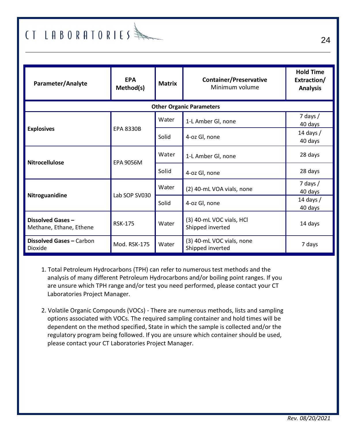## $#$  (T LABORATORIES)

| Parameter/Analyte                            | <b>EPA</b><br>Method(s) | <b>Matrix</b> | <b>Container/Preservative</b><br>Minimum volume | <b>Hold Time</b><br>Extraction/<br><b>Analysis</b> |
|----------------------------------------------|-------------------------|---------------|-------------------------------------------------|----------------------------------------------------|
|                                              |                         |               | <b>Other Organic Parameters</b>                 |                                                    |
|                                              |                         | Water         | 1-L Amber Gl, none                              | 7 days $/$<br>40 days                              |
| <b>Explosives</b>                            | <b>EPA 8330B</b>        | Solid         | 4-oz Gl, none                                   | 14 days $/$<br>40 days                             |
| <b>Nitrocellulose</b>                        | <b>EPA 9056M</b>        | Water         | 1-L Amber Gl, none                              | 28 days                                            |
|                                              |                         | Solid         | 4-oz Gl, none                                   | 28 days                                            |
|                                              | Lab SOP SV030           | Water         | (2) 40-mL VOA vials, none                       | 7 days $/$<br>40 days                              |
| Nitroguanidine                               |                         | Solid         | 4-oz Gl, none                                   | 14 days $/$<br>40 days                             |
| Dissolved Gases -<br>Methane, Ethane, Ethene | <b>RSK-175</b>          | Water         | (3) 40-mL VOC vials, HCl<br>Shipped inverted    | 14 days                                            |
| Dissolved Gases - Carbon<br>Dioxide          | Mod. RSK-175            | Water         | (3) 40-mL VOC vials, none<br>Shipped inverted   | 7 days                                             |

- 1. Total Petroleum Hydrocarbons (TPH) can refer to numerous test methods and the analysis of many different Petroleum Hydrocarbons and/or boiling point ranges. If you are unsure which TPH range and/or test you need performed, please contact your CT Laboratories Project Manager.
- 2. Volatile Organic Compounds (VOCs) There are numerous methods, lists and sampling options associated with VOCs. The required sampling container and hold times will be dependent on the method specified, State in which the sample is collected and/or the regulatory program being followed. If you are unsure which container should be used, please contact your CT Laboratories Project Manager.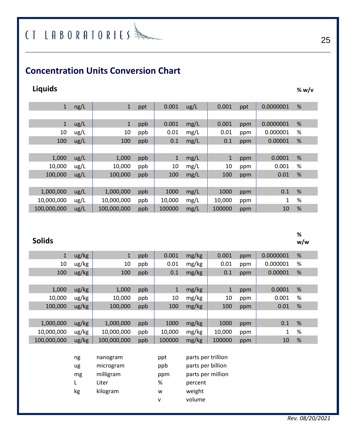## $(1$  LABORATORIES

### **Concentration Units Conversion Chart**

### **Liquids % w/v**

| ng/L | $\mathbf{1}$ | ppt | 0.001        | ug/L | 0.001        | ppt | 0.0000001 | % |  |
|------|--------------|-----|--------------|------|--------------|-----|-----------|---|--|
|      |              |     |              |      |              |     |           |   |  |
| ug/L | $\mathbf{1}$ | ppb | 0.001        | mg/L | 0.001        | ppm | 0.0000001 | % |  |
| ug/L | 10           | ppb | 0.01         | mg/L | 0.01         | ppm | 0.000001  | % |  |
| ug/L | 100          | ppb | 0.1          | mg/L | 0.1          | ppm | 0.00001   | % |  |
|      |              |     |              |      |              |     |           |   |  |
| ug/L | 1,000        | ppb | $\mathbf{1}$ | mg/L | $\mathbf{1}$ | ppm | 0.0001    | % |  |
| ug/L | 10,000       | ppb | 10           | mg/L | 10           | ppm | 0.001     | % |  |
| ug/L | 100,000      | ppb | 100          | mg/L | 100          | ppm | 0.01      | % |  |
|      |              |     |              |      |              |     |           |   |  |
| ug/L | 1,000,000    | ppb | 1000         | mg/L | 1000         | ppm | 0.1       | % |  |
| ug/L | 10,000,000   | ppb | 10,000       | mg/L | 10,000       | ppm | 1         | % |  |
| ug/L | 100,000,000  | ppb | 100000       | mg/L | 100000       | ppm | 10        | % |  |

### **Solids**

| $\mathbf{1}$ | ug/kg | 1           | ppb | 0.001  | mg/kg | 0.001  | ppm | 0.0000001 | % |  |
|--------------|-------|-------------|-----|--------|-------|--------|-----|-----------|---|--|
| 10           | ug/kg | 10          | ppb | 0.01   | mg/kg | 0.01   | ppm | 0.000001  | % |  |
| 100          | ug/kg | 100         | ppb | 0.1    | mg/kg | 0.1    | ppm | 0.00001   | % |  |
|              |       |             |     |        |       |        |     |           |   |  |
| 1,000        | ug/kg | 1,000       | ppb | 1      | mg/kg | 1      | ppm | 0.0001    | % |  |
| 10,000       | ug/kg | 10,000      | ppb | 10     | mg/kg | 10     | ppm | 0.001     | % |  |
| 100,000      | ug/kg | 100,000     | ppb | 100    | mg/kg | 100    | ppm | 0.01      | % |  |
|              |       |             |     |        |       |        |     |           |   |  |
| 1,000,000    | ug/kg | 1,000,000   | ppb | 1000   | mg/kg | 1000   | ppm | 0.1       | % |  |
| 10,000,000   | ug/kg | 10,000,000  | ppb | 10,000 | mg/kg | 10,000 | ppm | 1         | % |  |
| 100,000,000  | ug/kg | 100,000,000 | ppb | 100000 | mg/kg | 100000 | ppm | 10        | % |  |
|              |       |             |     |        |       |        |     |           |   |  |

| ng | nanogram  | ppt | parts per trillion |
|----|-----------|-----|--------------------|
| ug | microgram | ppb | parts per billion  |
| mg | milligram | ppm | parts per million  |
|    | Liter     | %   | percent            |
| kg | kilogram  | w   | weight             |
|    |           | v   | volume             |

**% w/w**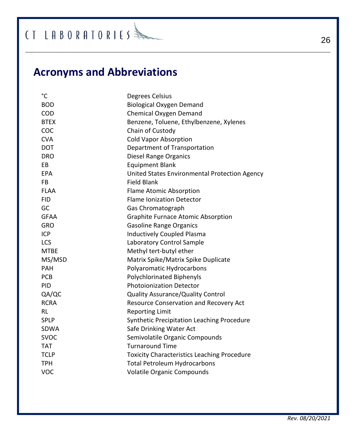$\textcircled{\texttt{if}}$   $\textcircled{\texttt{if}}$   $\textcircled{\texttt{if}}$   $\textcircled{\texttt{if}}$ 

## **Acronyms and Abbreviations**

| °C          | Degrees Celsius                                    |
|-------------|----------------------------------------------------|
| <b>BOD</b>  | <b>Biological Oxygen Demand</b>                    |
| COD         | Chemical Oxygen Demand                             |
| <b>BTEX</b> | Benzene, Toluene, Ethylbenzene, Xylenes            |
| COC         | Chain of Custody                                   |
| <b>CVA</b>  | <b>Cold Vapor Absorption</b>                       |
| <b>DOT</b>  | Department of Transportation                       |
| <b>DRO</b>  | Diesel Range Organics                              |
| EB          | <b>Equipment Blank</b>                             |
| <b>EPA</b>  | United States Environmental Protection Agency      |
| <b>FB</b>   | <b>Field Blank</b>                                 |
| <b>FLAA</b> | Flame Atomic Absorption                            |
| <b>FID</b>  | <b>Flame Ionization Detector</b>                   |
| GC          | Gas Chromatograph                                  |
| <b>GFAA</b> | <b>Graphite Furnace Atomic Absorption</b>          |
| GRO         | <b>Gasoline Range Organics</b>                     |
| ICP         | <b>Inductively Coupled Plasma</b>                  |
| LCS         | Laboratory Control Sample                          |
| <b>MTBE</b> | Methyl tert-butyl ether                            |
| MS/MSD      | Matrix Spike/Matrix Spike Duplicate                |
| PAH         | Polyaromatic Hydrocarbons                          |
| <b>PCB</b>  | Polychlorinated Biphenyls                          |
| <b>PID</b>  | <b>Photoionization Detector</b>                    |
| QA/QC       | Quality Assurance/Quality Control                  |
| <b>RCRA</b> | Resource Conservation and Recovery Act             |
| <b>RL</b>   | <b>Reporting Limit</b>                             |
| <b>SPLP</b> | Synthetic Precipitation Leaching Procedure         |
| <b>SDWA</b> | Safe Drinking Water Act                            |
| <b>SVOC</b> | Semivolatile Organic Compounds                     |
| <b>TAT</b>  | <b>Turnaround Time</b>                             |
| <b>TCLP</b> | <b>Toxicity Characteristics Leaching Procedure</b> |
| <b>TPH</b>  | <b>Total Petroleum Hydrocarbons</b>                |
| VOC         | Volatile Organic Compounds                         |
|             |                                                    |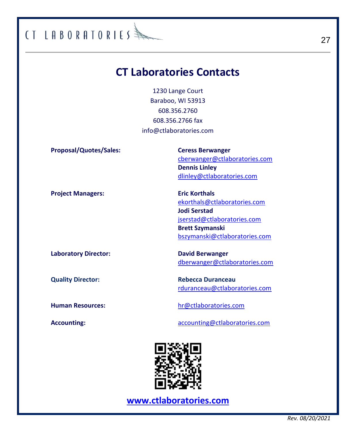### **CT Laboratories Contacts**

CT LABORATORIES

1230 Lange Court Baraboo, WI 53913 608.356.2760 608.356.2766 fax [info@ctlaboratories.com](mailto:info@ctlaboratories.com)

**Proposal/Quotes/Sales: Ceress Berwanger**  [cberwanger@ctlaboratories.com](mailto:cberwanger@ctlaboratories.com) **Dennis Linley** [dlinley@ctlaboratories.com](mailto:dlinley@ctlaboratories.com) **Project Managers:** Eric Korthals [ekorthals@ctlaboratories.com](mailto:ekorthals@ctlaboratories.com) **Jodi Serstad** [jserstad@ctlaboratories.com](mailto:jserstad@ctlaboratories.com) **Brett Szymanski** [bszymanski@ctlaboratories.com](mailto:bszymanski@ctlaboratories.com) **Laboratory Director: David Berwanger** [dberwanger@ctlaboratories.com](mailto:dberwanger@ctlaboratories.com) **Quality Director:** Rebecca Duranceau

[rduranceau@ctlaboratories.com](mailto:rduranceau@ctlaboratories.com)

**Human Resources:** [hr@ctlaboratories.com](mailto:hr@ctlaboratories.com)

Accounting: **Accounting: [accounting@ctlaboratories.com](mailto:accounting@ctlaboratories.com)** 



**[www.ctlaboratories.com](http://www.ctlaboratories.com/)**